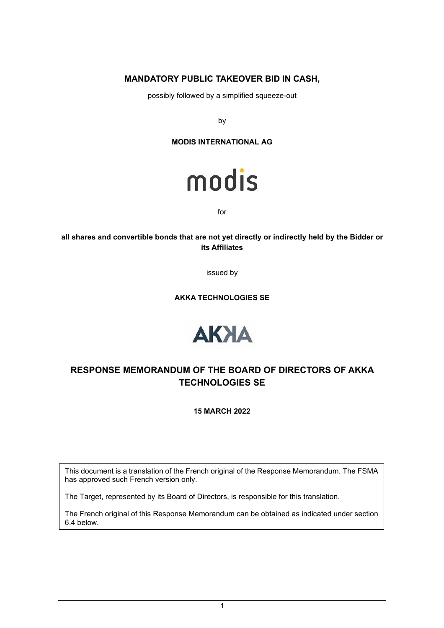## **MANDATORY PUBLIC TAKEOVER BID IN CASH,**

possibly followed by a simplified squeeze-out

by

**MODIS INTERNATIONAL AG** 



for

**all shares and convertible bonds that are not yet directly or indirectly held by the Bidder or its Affiliates** 

issued by

**AKKA TECHNOLOGIES SE** 



# **RESPONSE MEMORANDUM OF THE BOARD OF DIRECTORS OF AKKA TECHNOLOGIES SE**

**15 MARCH 2022** 

This document is a translation of the French original of the Response Memorandum. The FSMA has approved such French version only.

The Target, represented by its Board of Directors, is responsible for this translation.

The French original of this Response Memorandum can be obtained as indicated under section 6.4 below.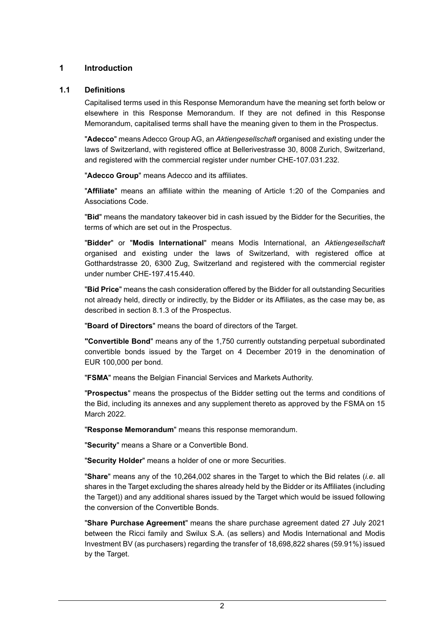### **1 Introduction**

#### **1.1 Definitions**

Capitalised terms used in this Response Memorandum have the meaning set forth below or elsewhere in this Response Memorandum. If they are not defined in this Response Memorandum, capitalised terms shall have the meaning given to them in the Prospectus.

"**Adecco**" means Adecco Group AG, an *Aktiengesellschaft* organised and existing under the laws of Switzerland, with registered office at Bellerivestrasse 30, 8008 Zurich, Switzerland, and registered with the commercial register under number CHE-107.031.232.

"**Adecco Group**" means Adecco and its affiliates.

"**Affiliate**" means an affiliate within the meaning of Article 1:20 of the Companies and Associations Code.

"**Bid**" means the mandatory takeover bid in cash issued by the Bidder for the Securities, the terms of which are set out in the Prospectus.

"**Bidder**" or "**Modis International**" means Modis International, an *Aktiengesellschaft*  organised and existing under the laws of Switzerland, with registered office at Gotthardstrasse 20, 6300 Zug, Switzerland and registered with the commercial register under number CHE-197.415.440.

"**Bid Price**" means the cash consideration offered by the Bidder for all outstanding Securities not already held, directly or indirectly, by the Bidder or its Affiliates, as the case may be, as described in section 8.1.3 of the Prospectus.

"**Board of Directors**" means the board of directors of the Target.

**"Convertible Bond**" means any of the 1,750 currently outstanding perpetual subordinated convertible bonds issued by the Target on 4 December 2019 in the denomination of EUR 100,000 per bond.

"**FSMA**" means the Belgian Financial Services and Markets Authority.

"**Prospectus**" means the prospectus of the Bidder setting out the terms and conditions of the Bid, including its annexes and any supplement thereto as approved by the FSMA on 15 March 2022.

"**Response Memorandum**" means this response memorandum.

"**Security**" means a Share or a Convertible Bond.

"**Security Holder**" means a holder of one or more Securities.

"**Share**" means any of the 10,264,002 shares in the Target to which the Bid relates (*i.e*. all shares in the Target excluding the shares already held by the Bidder or its Affiliates (including the Target)) and any additional shares issued by the Target which would be issued following the conversion of the Convertible Bonds.

"**Share Purchase Agreement**" means the share purchase agreement dated 27 July 2021 between the Ricci family and Swilux S.A. (as sellers) and Modis International and Modis Investment BV (as purchasers) regarding the transfer of 18,698,822 shares (59.91%) issued by the Target.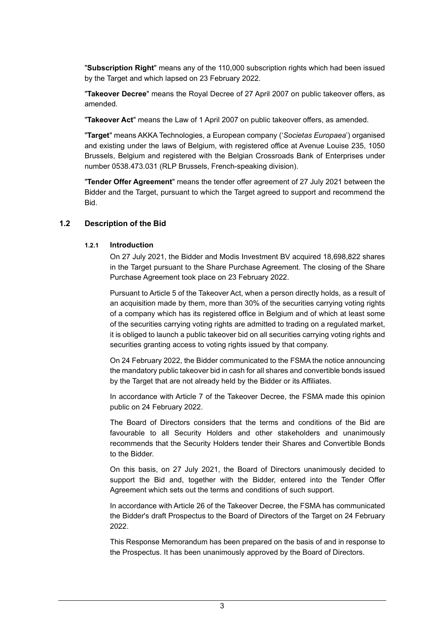"**Subscription Right**" means any of the 110,000 subscription rights which had been issued by the Target and which lapsed on 23 February 2022.

"**Takeover Decree**" means the Royal Decree of 27 April 2007 on public takeover offers, as amended.

"**Takeover Act**" means the Law of 1 April 2007 on public takeover offers, as amended.

"**Target**" means AKKA Technologies, a European company ('*Societas Europaea*') organised and existing under the laws of Belgium, with registered office at Avenue Louise 235, 1050 Brussels, Belgium and registered with the Belgian Crossroads Bank of Enterprises under number 0538.473.031 (RLP Brussels, French-speaking division).

"**Tender Offer Agreement**" means the tender offer agreement of 27 July 2021 between the Bidder and the Target, pursuant to which the Target agreed to support and recommend the Bid.

### **1.2 Description of the Bid**

#### **1.2.1 Introduction**

On 27 July 2021, the Bidder and Modis Investment BV acquired 18,698,822 shares in the Target pursuant to the Share Purchase Agreement. The closing of the Share Purchase Agreement took place on 23 February 2022.

Pursuant to Article 5 of the Takeover Act, when a person directly holds, as a result of an acquisition made by them, more than 30% of the securities carrying voting rights of a company which has its registered office in Belgium and of which at least some of the securities carrying voting rights are admitted to trading on a regulated market, it is obliged to launch a public takeover bid on all securities carrying voting rights and securities granting access to voting rights issued by that company.

On 24 February 2022, the Bidder communicated to the FSMA the notice announcing the mandatory public takeover bid in cash for all shares and convertible bonds issued by the Target that are not already held by the Bidder or its Affiliates.

In accordance with Article 7 of the Takeover Decree, the FSMA made this opinion public on 24 February 2022.

The Board of Directors considers that the terms and conditions of the Bid are favourable to all Security Holders and other stakeholders and unanimously recommends that the Security Holders tender their Shares and Convertible Bonds to the Bidder.

On this basis, on 27 July 2021, the Board of Directors unanimously decided to support the Bid and, together with the Bidder, entered into the Tender Offer Agreement which sets out the terms and conditions of such support.

In accordance with Article 26 of the Takeover Decree, the FSMA has communicated the Bidder's draft Prospectus to the Board of Directors of the Target on 24 February 2022.

This Response Memorandum has been prepared on the basis of and in response to the Prospectus. It has been unanimously approved by the Board of Directors.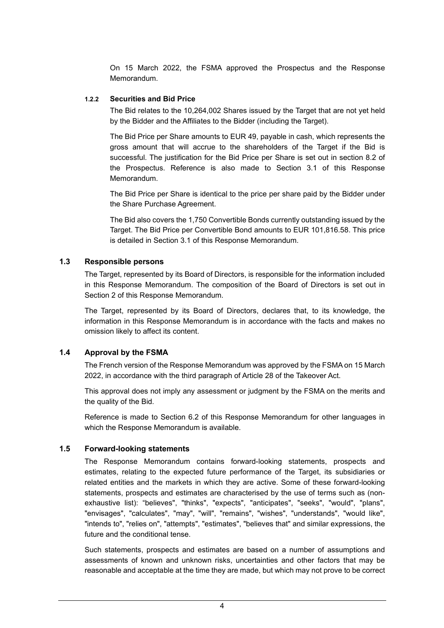On 15 March 2022, the FSMA approved the Prospectus and the Response Memorandum.

#### **1.2.2 Securities and Bid Price**

The Bid relates to the 10,264,002 Shares issued by the Target that are not yet held by the Bidder and the Affiliates to the Bidder (including the Target).

The Bid Price per Share amounts to EUR 49, payable in cash, which represents the gross amount that will accrue to the shareholders of the Target if the Bid is successful. The justification for the Bid Price per Share is set out in section 8.2 of the Prospectus. Reference is also made to Section 3.1 of this Response Memorandum.

The Bid Price per Share is identical to the price per share paid by the Bidder under the Share Purchase Agreement.

The Bid also covers the 1,750 Convertible Bonds currently outstanding issued by the Target. The Bid Price per Convertible Bond amounts to EUR 101,816.58. This price is detailed in Section 3.1 of this Response Memorandum.

#### **1.3 Responsible persons**

The Target, represented by its Board of Directors, is responsible for the information included in this Response Memorandum. The composition of the Board of Directors is set out in Section 2 of this Response Memorandum.

The Target, represented by its Board of Directors, declares that, to its knowledge, the information in this Response Memorandum is in accordance with the facts and makes no omission likely to affect its content.

### **1.4 Approval by the FSMA**

The French version of the Response Memorandum was approved by the FSMA on 15 March 2022, in accordance with the third paragraph of Article 28 of the Takeover Act.

This approval does not imply any assessment or judgment by the FSMA on the merits and the quality of the Bid.

Reference is made to Section 6.2 of this Response Memorandum for other languages in which the Response Memorandum is available.

### **1.5 Forward-looking statements**

The Response Memorandum contains forward-looking statements, prospects and estimates, relating to the expected future performance of the Target, its subsidiaries or related entities and the markets in which they are active. Some of these forward-looking statements, prospects and estimates are characterised by the use of terms such as (nonexhaustive list): "believes", "thinks", "expects", "anticipates", "seeks", "would", "plans", "envisages", "calculates", "may", "will", "remains", "wishes", "understands", "would like", "intends to", "relies on", "attempts", "estimates", "believes that" and similar expressions, the future and the conditional tense.

Such statements, prospects and estimates are based on a number of assumptions and assessments of known and unknown risks, uncertainties and other factors that may be reasonable and acceptable at the time they are made, but which may not prove to be correct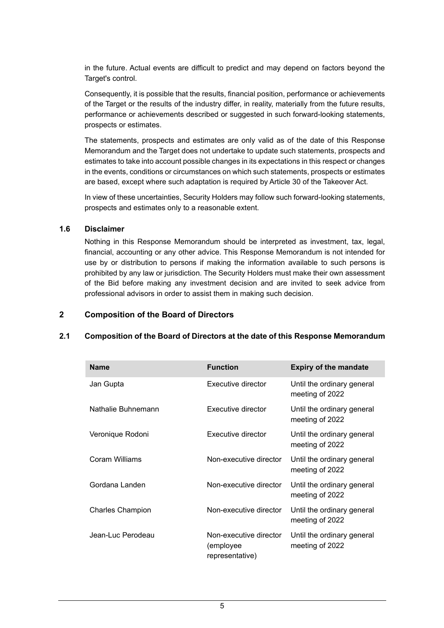in the future. Actual events are difficult to predict and may depend on factors beyond the Target's control.

Consequently, it is possible that the results, financial position, performance or achievements of the Target or the results of the industry differ, in reality, materially from the future results, performance or achievements described or suggested in such forward-looking statements, prospects or estimates.

The statements, prospects and estimates are only valid as of the date of this Response Memorandum and the Target does not undertake to update such statements, prospects and estimates to take into account possible changes in its expectations in this respect or changes in the events, conditions or circumstances on which such statements, prospects or estimates are based, except where such adaptation is required by Article 30 of the Takeover Act.

In view of these uncertainties, Security Holders may follow such forward-looking statements, prospects and estimates only to a reasonable extent.

#### **1.6 Disclaimer**

Nothing in this Response Memorandum should be interpreted as investment, tax, legal, financial, accounting or any other advice. This Response Memorandum is not intended for use by or distribution to persons if making the information available to such persons is prohibited by any law or jurisdiction. The Security Holders must make their own assessment of the Bid before making any investment decision and are invited to seek advice from professional advisors in order to assist them in making such decision.

#### **2 Composition of the Board of Directors**

#### **2.1 Composition of the Board of Directors at the date of this Response Memorandum**

| <b>Name</b>             | <b>Function</b>                                        | <b>Expiry of the mandate</b>                  |
|-------------------------|--------------------------------------------------------|-----------------------------------------------|
| Jan Gupta               | Executive director                                     | Until the ordinary general<br>meeting of 2022 |
| Nathalie Buhnemann      | Executive director                                     | Until the ordinary general<br>meeting of 2022 |
| Veronique Rodoni        | Executive director                                     | Until the ordinary general<br>meeting of 2022 |
| Coram Williams          | Non-executive director                                 | Until the ordinary general<br>meeting of 2022 |
| Gordana Landen          | Non-executive director                                 | Until the ordinary general<br>meeting of 2022 |
| <b>Charles Champion</b> | Non-executive director                                 | Until the ordinary general<br>meeting of 2022 |
| Jean-Luc Perodeau       | Non-executive director<br>(employee<br>representative) | Until the ordinary general<br>meeting of 2022 |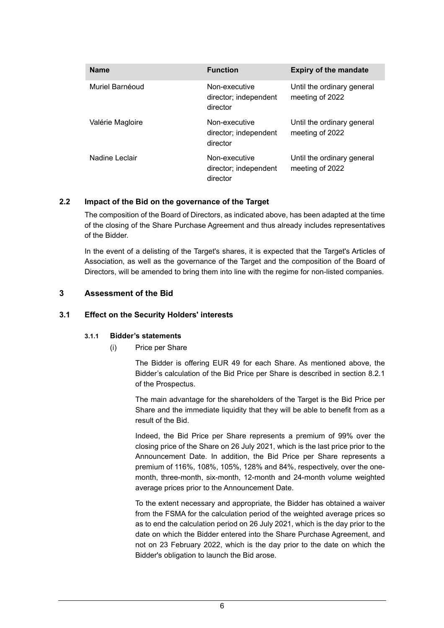| <b>Name</b>      | <b>Function</b>                                    | <b>Expiry of the mandate</b>                  |
|------------------|----------------------------------------------------|-----------------------------------------------|
| Muriel Barnéoud  | Non-executive<br>director; independent<br>director | Until the ordinary general<br>meeting of 2022 |
| Valérie Magloire | Non-executive<br>director; independent<br>director | Until the ordinary general<br>meeting of 2022 |
| Nadine Leclair   | Non-executive<br>director; independent<br>director | Until the ordinary general<br>meeting of 2022 |

### **2.2 Impact of the Bid on the governance of the Target**

The composition of the Board of Directors, as indicated above, has been adapted at the time of the closing of the Share Purchase Agreement and thus already includes representatives of the Bidder.

In the event of a delisting of the Target's shares, it is expected that the Target's Articles of Association, as well as the governance of the Target and the composition of the Board of Directors, will be amended to bring them into line with the regime for non-listed companies.

### **3 Assessment of the Bid**

#### **3.1 Effect on the Security Holders' interests**

#### **3.1.1 Bidder's statements**

### (i) Price per Share

The Bidder is offering EUR 49 for each Share. As mentioned above, the Bidder's calculation of the Bid Price per Share is described in section 8.2.1 of the Prospectus.

The main advantage for the shareholders of the Target is the Bid Price per Share and the immediate liquidity that they will be able to benefit from as a result of the Bid.

Indeed, the Bid Price per Share represents a premium of 99% over the closing price of the Share on 26 July 2021, which is the last price prior to the Announcement Date. In addition, the Bid Price per Share represents a premium of 116%, 108%, 105%, 128% and 84%, respectively, over the onemonth, three-month, six-month, 12-month and 24-month volume weighted average prices prior to the Announcement Date.

To the extent necessary and appropriate, the Bidder has obtained a waiver from the FSMA for the calculation period of the weighted average prices so as to end the calculation period on 26 July 2021, which is the day prior to the date on which the Bidder entered into the Share Purchase Agreement, and not on 23 February 2022, which is the day prior to the date on which the Bidder's obligation to launch the Bid arose.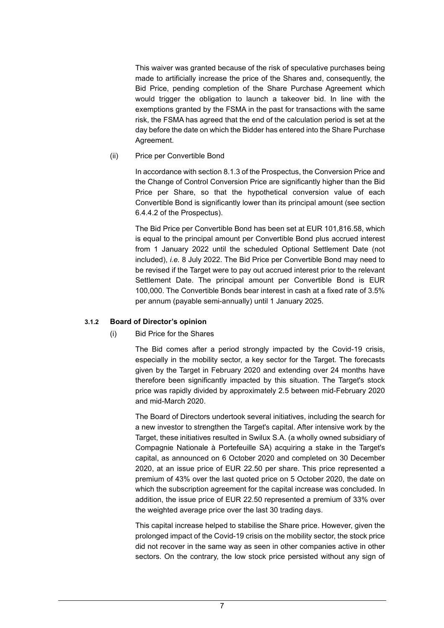This waiver was granted because of the risk of speculative purchases being made to artificially increase the price of the Shares and, consequently, the Bid Price, pending completion of the Share Purchase Agreement which would trigger the obligation to launch a takeover bid. In line with the exemptions granted by the FSMA in the past for transactions with the same risk, the FSMA has agreed that the end of the calculation period is set at the day before the date on which the Bidder has entered into the Share Purchase Agreement.

(ii) Price per Convertible Bond

In accordance with section 8.1.3 of the Prospectus, the Conversion Price and the Change of Control Conversion Price are significantly higher than the Bid Price per Share, so that the hypothetical conversion value of each Convertible Bond is significantly lower than its principal amount (see section 6.4.4.2 of the Prospectus).

The Bid Price per Convertible Bond has been set at EUR 101,816.58, which is equal to the principal amount per Convertible Bond plus accrued interest from 1 January 2022 until the scheduled Optional Settlement Date (not included), *i.e.* 8 July 2022. The Bid Price per Convertible Bond may need to be revised if the Target were to pay out accrued interest prior to the relevant Settlement Date. The principal amount per Convertible Bond is EUR 100,000. The Convertible Bonds bear interest in cash at a fixed rate of 3.5% per annum (payable semi-annually) until 1 January 2025.

### **3.1.2 Board of Director's opinion**

### (i) Bid Price for the Shares

The Bid comes after a period strongly impacted by the Covid-19 crisis, especially in the mobility sector, a key sector for the Target. The forecasts given by the Target in February 2020 and extending over 24 months have therefore been significantly impacted by this situation. The Target's stock price was rapidly divided by approximately 2.5 between mid-February 2020 and mid-March 2020.

The Board of Directors undertook several initiatives, including the search for a new investor to strengthen the Target's capital. After intensive work by the Target, these initiatives resulted in Swilux S.A. (a wholly owned subsidiary of Compagnie Nationale à Portefeuille SA) acquiring a stake in the Target's capital, as announced on 6 October 2020 and completed on 30 December 2020, at an issue price of EUR 22.50 per share. This price represented a premium of 43% over the last quoted price on 5 October 2020, the date on which the subscription agreement for the capital increase was concluded. In addition, the issue price of EUR 22.50 represented a premium of 33% over the weighted average price over the last 30 trading days.

This capital increase helped to stabilise the Share price. However, given the prolonged impact of the Covid-19 crisis on the mobility sector, the stock price did not recover in the same way as seen in other companies active in other sectors. On the contrary, the low stock price persisted without any sign of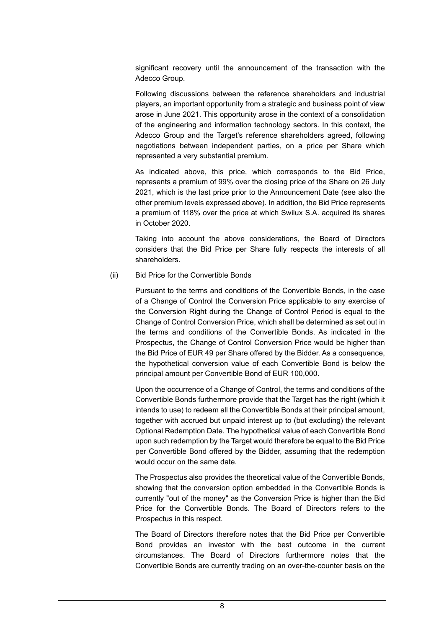significant recovery until the announcement of the transaction with the Adecco Group.

Following discussions between the reference shareholders and industrial players, an important opportunity from a strategic and business point of view arose in June 2021. This opportunity arose in the context of a consolidation of the engineering and information technology sectors. In this context, the Adecco Group and the Target's reference shareholders agreed, following negotiations between independent parties, on a price per Share which represented a very substantial premium.

As indicated above, this price, which corresponds to the Bid Price, represents a premium of 99% over the closing price of the Share on 26 July 2021, which is the last price prior to the Announcement Date (see also the other premium levels expressed above). In addition, the Bid Price represents a premium of 118% over the price at which Swilux S.A. acquired its shares in October 2020.

Taking into account the above considerations, the Board of Directors considers that the Bid Price per Share fully respects the interests of all shareholders.

(ii) Bid Price for the Convertible Bonds

Pursuant to the terms and conditions of the Convertible Bonds, in the case of a Change of Control the Conversion Price applicable to any exercise of the Conversion Right during the Change of Control Period is equal to the Change of Control Conversion Price, which shall be determined as set out in the terms and conditions of the Convertible Bonds. As indicated in the Prospectus, the Change of Control Conversion Price would be higher than the Bid Price of EUR 49 per Share offered by the Bidder. As a consequence, the hypothetical conversion value of each Convertible Bond is below the principal amount per Convertible Bond of EUR 100,000.

Upon the occurrence of a Change of Control, the terms and conditions of the Convertible Bonds furthermore provide that the Target has the right (which it intends to use) to redeem all the Convertible Bonds at their principal amount, together with accrued but unpaid interest up to (but excluding) the relevant Optional Redemption Date. The hypothetical value of each Convertible Bond upon such redemption by the Target would therefore be equal to the Bid Price per Convertible Bond offered by the Bidder, assuming that the redemption would occur on the same date.

The Prospectus also provides the theoretical value of the Convertible Bonds, showing that the conversion option embedded in the Convertible Bonds is currently "out of the money" as the Conversion Price is higher than the Bid Price for the Convertible Bonds. The Board of Directors refers to the Prospectus in this respect.

The Board of Directors therefore notes that the Bid Price per Convertible Bond provides an investor with the best outcome in the current circumstances. The Board of Directors furthermore notes that the Convertible Bonds are currently trading on an over-the-counter basis on the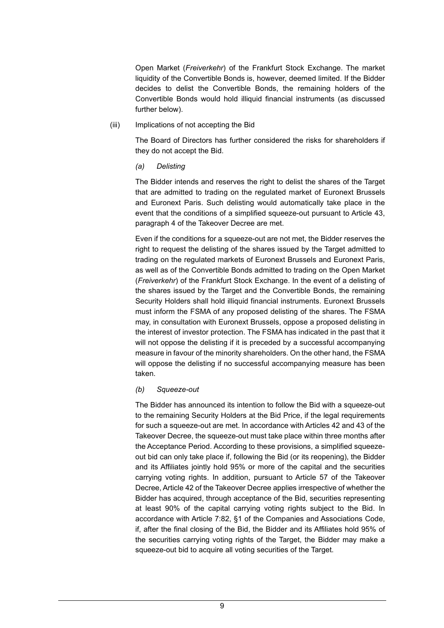Open Market (*Freiverkehr*) of the Frankfurt Stock Exchange. The market liquidity of the Convertible Bonds is, however, deemed limited. If the Bidder decides to delist the Convertible Bonds, the remaining holders of the Convertible Bonds would hold illiquid financial instruments (as discussed further below).

(iii) Implications of not accepting the Bid

The Board of Directors has further considered the risks for shareholders if they do not accept the Bid.

*(a) Delisting* 

The Bidder intends and reserves the right to delist the shares of the Target that are admitted to trading on the regulated market of Euronext Brussels and Euronext Paris. Such delisting would automatically take place in the event that the conditions of a simplified squeeze-out pursuant to Article 43, paragraph 4 of the Takeover Decree are met.

Even if the conditions for a squeeze-out are not met, the Bidder reserves the right to request the delisting of the shares issued by the Target admitted to trading on the regulated markets of Euronext Brussels and Euronext Paris, as well as of the Convertible Bonds admitted to trading on the Open Market (*Freiverkehr*) of the Frankfurt Stock Exchange. In the event of a delisting of the shares issued by the Target and the Convertible Bonds, the remaining Security Holders shall hold illiquid financial instruments. Euronext Brussels must inform the FSMA of any proposed delisting of the shares. The FSMA may, in consultation with Euronext Brussels, oppose a proposed delisting in the interest of investor protection. The FSMA has indicated in the past that it will not oppose the delisting if it is preceded by a successful accompanying measure in favour of the minority shareholders. On the other hand, the FSMA will oppose the delisting if no successful accompanying measure has been taken.

#### *(b) Squeeze-out*

The Bidder has announced its intention to follow the Bid with a squeeze-out to the remaining Security Holders at the Bid Price, if the legal requirements for such a squeeze-out are met. In accordance with Articles 42 and 43 of the Takeover Decree, the squeeze-out must take place within three months after the Acceptance Period. According to these provisions, a simplified squeezeout bid can only take place if, following the Bid (or its reopening), the Bidder and its Affiliates jointly hold 95% or more of the capital and the securities carrying voting rights. In addition, pursuant to Article 57 of the Takeover Decree, Article 42 of the Takeover Decree applies irrespective of whether the Bidder has acquired, through acceptance of the Bid, securities representing at least 90% of the capital carrying voting rights subject to the Bid. In accordance with Article 7:82, §1 of the Companies and Associations Code, if, after the final closing of the Bid, the Bidder and its Affiliates hold 95% of the securities carrying voting rights of the Target, the Bidder may make a squeeze-out bid to acquire all voting securities of the Target.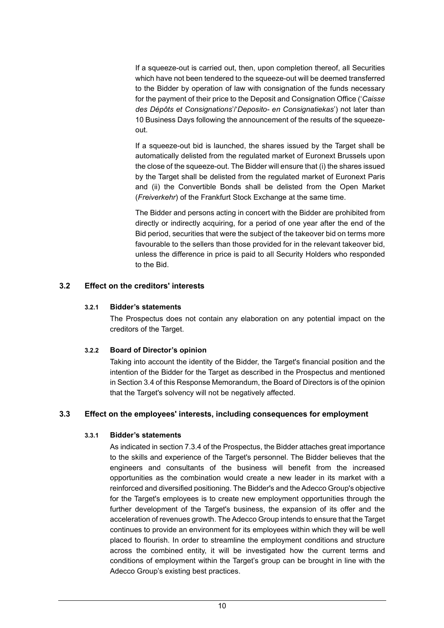If a squeeze-out is carried out, then, upon completion thereof, all Securities which have not been tendered to the squeeze-out will be deemed transferred to the Bidder by operation of law with consignation of the funds necessary for the payment of their price to the Deposit and Consignation Office ('*Caisse des Dépôts et Consignations*'/'*Deposito- en Consignatiekas*') not later than 10 Business Days following the announcement of the results of the squeezeout.

If a squeeze-out bid is launched, the shares issued by the Target shall be automatically delisted from the regulated market of Euronext Brussels upon the close of the squeeze-out. The Bidder will ensure that (i) the shares issued by the Target shall be delisted from the regulated market of Euronext Paris and (ii) the Convertible Bonds shall be delisted from the Open Market (*Freiverkehr*) of the Frankfurt Stock Exchange at the same time.

The Bidder and persons acting in concert with the Bidder are prohibited from directly or indirectly acquiring, for a period of one year after the end of the Bid period, securities that were the subject of the takeover bid on terms more favourable to the sellers than those provided for in the relevant takeover bid, unless the difference in price is paid to all Security Holders who responded to the Bid.

### **3.2 Effect on the creditors' interests**

#### **3.2.1 Bidder's statements**

The Prospectus does not contain any elaboration on any potential impact on the creditors of the Target.

### **3.2.2 Board of Director's opinion**

Taking into account the identity of the Bidder, the Target's financial position and the intention of the Bidder for the Target as described in the Prospectus and mentioned in Section 3.4 of this Response Memorandum, the Board of Directors is of the opinion that the Target's solvency will not be negatively affected.

### **3.3 Effect on the employees' interests, including consequences for employment**

#### **3.3.1 Bidder's statements**

As indicated in section 7.3.4 of the Prospectus, the Bidder attaches great importance to the skills and experience of the Target's personnel. The Bidder believes that the engineers and consultants of the business will benefit from the increased opportunities as the combination would create a new leader in its market with a reinforced and diversified positioning. The Bidder's and the Adecco Group's objective for the Target's employees is to create new employment opportunities through the further development of the Target's business, the expansion of its offer and the acceleration of revenues growth. The Adecco Group intends to ensure that the Target continues to provide an environment for its employees within which they will be well placed to flourish. In order to streamline the employment conditions and structure across the combined entity, it will be investigated how the current terms and conditions of employment within the Target's group can be brought in line with the Adecco Group's existing best practices.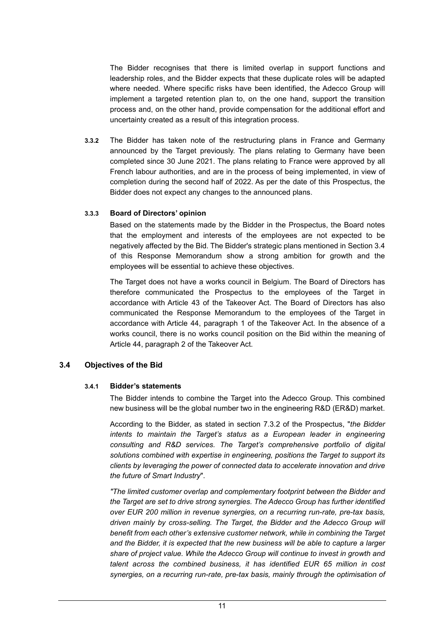The Bidder recognises that there is limited overlap in support functions and leadership roles, and the Bidder expects that these duplicate roles will be adapted where needed. Where specific risks have been identified, the Adecco Group will implement a targeted retention plan to, on the one hand, support the transition process and, on the other hand, provide compensation for the additional effort and uncertainty created as a result of this integration process.

**3.3.2** The Bidder has taken note of the restructuring plans in France and Germany announced by the Target previously. The plans relating to Germany have been completed since 30 June 2021. The plans relating to France were approved by all French labour authorities, and are in the process of being implemented, in view of completion during the second half of 2022. As per the date of this Prospectus, the Bidder does not expect any changes to the announced plans.

#### **3.3.3 Board of Directors' opinion**

Based on the statements made by the Bidder in the Prospectus, the Board notes that the employment and interests of the employees are not expected to be negatively affected by the Bid. The Bidder's strategic plans mentioned in Section 3.4 of this Response Memorandum show a strong ambition for growth and the employees will be essential to achieve these objectives.

The Target does not have a works council in Belgium. The Board of Directors has therefore communicated the Prospectus to the employees of the Target in accordance with Article 43 of the Takeover Act. The Board of Directors has also communicated the Response Memorandum to the employees of the Target in accordance with Article 44, paragraph 1 of the Takeover Act. In the absence of a works council, there is no works council position on the Bid within the meaning of Article 44, paragraph 2 of the Takeover Act.

### **3.4 Objectives of the Bid**

#### **3.4.1 Bidder's statements**

The Bidder intends to combine the Target into the Adecco Group. This combined new business will be the global number two in the engineering R&D (ER&D) market.

According to the Bidder, as stated in section 7.3.2 of the Prospectus, "*the Bidder intents to maintain the Target's status as a European leader in engineering consulting and R&D services. The Target's comprehensive portfolio of digital solutions combined with expertise in engineering, positions the Target to support its clients by leveraging the power of connected data to accelerate innovation and drive the future of Smart Industry*".

*"The limited customer overlap and complementary footprint between the Bidder and the Target are set to drive strong synergies. The Adecco Group has further identified over EUR 200 million in revenue synergies, on a recurring run-rate, pre-tax basis, driven mainly by cross-selling. The Target, the Bidder and the Adecco Group will benefit from each other's extensive customer network, while in combining the Target and the Bidder, it is expected that the new business will be able to capture a larger share of project value. While the Adecco Group will continue to invest in growth and talent across the combined business, it has identified EUR 65 million in cost synergies, on a recurring run-rate, pre-tax basis, mainly through the optimisation of*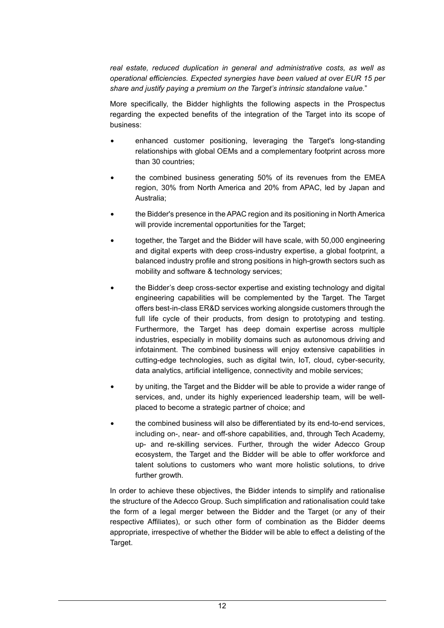*real estate, reduced duplication in general and administrative costs, as well as operational efficiencies. Expected synergies have been valued at over EUR 15 per share and justify paying a premium on the Target's intrinsic standalone value.*"

More specifically, the Bidder highlights the following aspects in the Prospectus regarding the expected benefits of the integration of the Target into its scope of business:

- enhanced customer positioning, leveraging the Target's long-standing relationships with global OEMs and a complementary footprint across more than 30 countries;
- the combined business generating 50% of its revenues from the EMEA region, 30% from North America and 20% from APAC, led by Japan and Australia;
- the Bidder's presence in the APAC region and its positioning in North America will provide incremental opportunities for the Target;
- together, the Target and the Bidder will have scale, with 50,000 engineering and digital experts with deep cross-industry expertise, a global footprint, a balanced industry profile and strong positions in high-growth sectors such as mobility and software & technology services;
- the Bidder's deep cross-sector expertise and existing technology and digital engineering capabilities will be complemented by the Target. The Target offers best-in-class ER&D services working alongside customers through the full life cycle of their products, from design to prototyping and testing. Furthermore, the Target has deep domain expertise across multiple industries, especially in mobility domains such as autonomous driving and infotainment. The combined business will enjoy extensive capabilities in cutting-edge technologies, such as digital twin, IoT, cloud, cyber-security, data analytics, artificial intelligence, connectivity and mobile services;
- by uniting, the Target and the Bidder will be able to provide a wider range of services, and, under its highly experienced leadership team, will be wellplaced to become a strategic partner of choice; and
- the combined business will also be differentiated by its end-to-end services, including on-, near- and off-shore capabilities, and, through Tech Academy, up- and re-skilling services. Further, through the wider Adecco Group ecosystem, the Target and the Bidder will be able to offer workforce and talent solutions to customers who want more holistic solutions, to drive further growth.

In order to achieve these objectives, the Bidder intends to simplify and rationalise the structure of the Adecco Group. Such simplification and rationalisation could take the form of a legal merger between the Bidder and the Target (or any of their respective Affiliates), or such other form of combination as the Bidder deems appropriate, irrespective of whether the Bidder will be able to effect a delisting of the Target.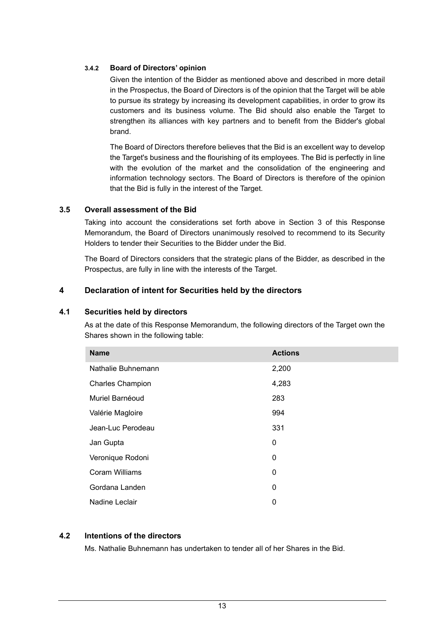#### **3.4.2 Board of Directors' opinion**

Given the intention of the Bidder as mentioned above and described in more detail in the Prospectus, the Board of Directors is of the opinion that the Target will be able to pursue its strategy by increasing its development capabilities, in order to grow its customers and its business volume. The Bid should also enable the Target to strengthen its alliances with key partners and to benefit from the Bidder's global brand.

The Board of Directors therefore believes that the Bid is an excellent way to develop the Target's business and the flourishing of its employees. The Bid is perfectly in line with the evolution of the market and the consolidation of the engineering and information technology sectors. The Board of Directors is therefore of the opinion that the Bid is fully in the interest of the Target.

### **3.5 Overall assessment of the Bid**

Taking into account the considerations set forth above in Section 3 of this Response Memorandum, the Board of Directors unanimously resolved to recommend to its Security Holders to tender their Securities to the Bidder under the Bid.

The Board of Directors considers that the strategic plans of the Bidder, as described in the Prospectus, are fully in line with the interests of the Target.

### **4 Declaration of intent for Securities held by the directors**

#### **4.1 Securities held by directors**

As at the date of this Response Memorandum, the following directors of the Target own the Shares shown in the following table:

| <b>Name</b>             | <b>Actions</b> |
|-------------------------|----------------|
| Nathalie Buhnemann      | 2,200          |
| <b>Charles Champion</b> | 4,283          |
| Muriel Barnéoud         | 283            |
| Valérie Magloire        | 994            |
| Jean-Luc Perodeau       | 331            |
| Jan Gupta               | 0              |
| Veronique Rodoni        | 0              |
| Coram Williams          | 0              |
| Gordana Landen          | 0              |
| Nadine Leclair          | 0              |

### **4.2 Intentions of the directors**

Ms. Nathalie Buhnemann has undertaken to tender all of her Shares in the Bid.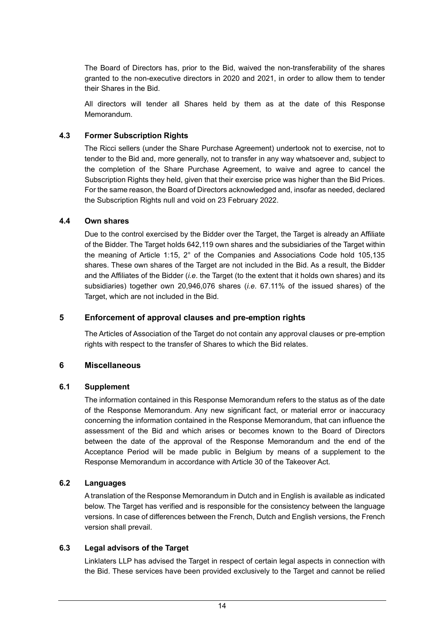The Board of Directors has, prior to the Bid, waived the non-transferability of the shares granted to the non-executive directors in 2020 and 2021, in order to allow them to tender their Shares in the Bid.

All directors will tender all Shares held by them as at the date of this Response Memorandum.

### **4.3 Former Subscription Rights**

The Ricci sellers (under the Share Purchase Agreement) undertook not to exercise, not to tender to the Bid and, more generally, not to transfer in any way whatsoever and, subject to the completion of the Share Purchase Agreement, to waive and agree to cancel the Subscription Rights they held, given that their exercise price was higher than the Bid Prices. For the same reason, the Board of Directors acknowledged and, insofar as needed, declared the Subscription Rights null and void on 23 February 2022.

#### **4.4 Own shares**

Due to the control exercised by the Bidder over the Target, the Target is already an Affiliate of the Bidder. The Target holds 642,119 own shares and the subsidiaries of the Target within the meaning of Article 1:15, 2° of the Companies and Associations Code hold 105,135 shares. These own shares of the Target are not included in the Bid. As a result, the Bidder and the Affiliates of the Bidder (*i.e*. the Target (to the extent that it holds own shares) and its subsidiaries) together own 20,946,076 shares (*i.e*. 67.11% of the issued shares) of the Target, which are not included in the Bid.

### **5 Enforcement of approval clauses and pre-emption rights**

The Articles of Association of the Target do not contain any approval clauses or pre-emption rights with respect to the transfer of Shares to which the Bid relates.

### **6 Miscellaneous**

#### **6.1 Supplement**

The information contained in this Response Memorandum refers to the status as of the date of the Response Memorandum. Any new significant fact, or material error or inaccuracy concerning the information contained in the Response Memorandum, that can influence the assessment of the Bid and which arises or becomes known to the Board of Directors between the date of the approval of the Response Memorandum and the end of the Acceptance Period will be made public in Belgium by means of a supplement to the Response Memorandum in accordance with Article 30 of the Takeover Act.

### **6.2 Languages**

A translation of the Response Memorandum in Dutch and in English is available as indicated below. The Target has verified and is responsible for the consistency between the language versions. In case of differences between the French, Dutch and English versions, the French version shall prevail.

### **6.3 Legal advisors of the Target**

Linklaters LLP has advised the Target in respect of certain legal aspects in connection with the Bid. These services have been provided exclusively to the Target and cannot be relied